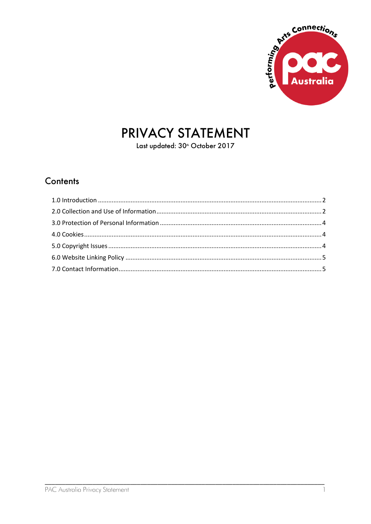

# PRIVACY STATEMENT

Last updated: 30<sup>th</sup> October 2017

#### Contents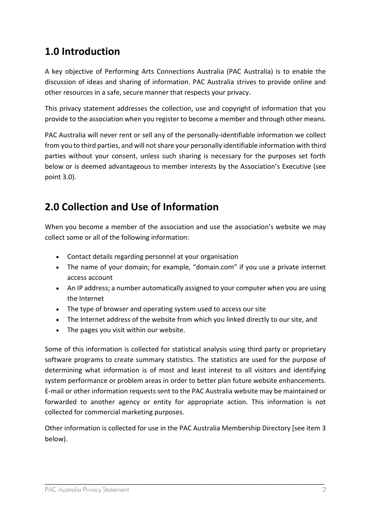### <span id="page-1-0"></span>**1.0 Introduction**

A key objective of Performing Arts Connections Australia (PAC Australia) is to enable the discussion of ideas and sharing of information. PAC Australia strives to provide online and other resources in a safe, secure manner that respects your privacy.

This privacy statement addresses the collection, use and copyright of information that you provide to the association when you register to become a member and through other means.

PAC Australia will never rent or sell any of the personally-identifiable information we collect from you to third parties, and will not share your personally identifiable information with third parties without your consent, unless such sharing is necessary for the purposes set forth below or is deemed advantageous to member interests by the Association's Executive (see point 3.0).

## <span id="page-1-1"></span>**2.0 Collection and Use of Information**

When you become a member of the association and use the association's website we may collect some or all of the following information:

- Contact details regarding personnel at your organisation
- The name of your domain; for example, "domain.com" if you use a private internet access account
- An IP address; a number automatically assigned to your computer when you are using the Internet
- The type of browser and operating system used to access our site
- The Internet address of the website from which you linked directly to our site, and
- The pages you visit within our website.

Some of this information is collected for statistical analysis using third party or proprietary software programs to create summary statistics. The statistics are used for the purpose of determining what information is of most and least interest to all visitors and identifying system performance or problem areas in order to better plan future website enhancements. E-mail or other information requests sent to the PAC Australia website may be maintained or forwarded to another agency or entity for appropriate action. This information is not collected for commercial marketing purposes.

Other information is collected for use in the PAC Australia Membership Directory [see item 3 below).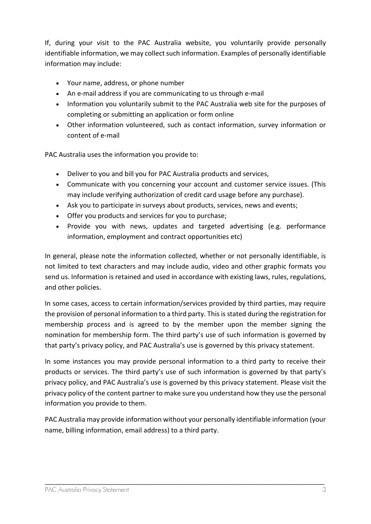If, during your visit to the PAC Australia website, you voluntarily provide personally identifiable information, we may collect such information. Examples of personally identifiable information may include:

- Your name, address, or phone number
- An e-mail address if you are communicating to us through e-mail
- Information you voluntarily submit to the PAC Australia web site for the purposes of completing or submitting an application or form online
- Other information volunteered, such as contact information, survey information or content of e-mail

PAC Australia uses the information you provide to:

- Deliver to you and bill you for PAC Australia products and services,
- Communicate with you concerning your account and customer service issues. (This may include verifying authorization of credit card usage before any purchase).
- Ask you to participate in surveys about products, services, news and events;
- Offer you products and services for you to purchase;
- Provide you with news, updates and targeted advertising (e.g. performance information, employment and contract opportunities etc)

In general, please note the information collected, whether or not personally identifiable, is not limited to text characters and may include audio, video and other graphic formats you send us. Information is retained and used in accordance with existing laws, rules, regulations, and other policies.

In some cases, access to certain information/services provided by third parties, may require the provision of personal information to a third party. This is stated during the registration for membership process and is agreed to by the member upon the member signing the nomination for membership form. The third party's use of such information is governed by that party's privacy policy, and PAC Australia's use is governed by this privacy statement.

In some instances you may provide personal information to a third party to receive their products or services. The third party's use of such information is governed by that party's privacy policy, and PAC Australia's use is governed by this privacy statement. Please visit the privacy policy of the content partner to make sure you understand how they use the personal information you provide to them.

PAC Australia may provide information without your personally identifiable information (your name, billing information, email address) to a third party.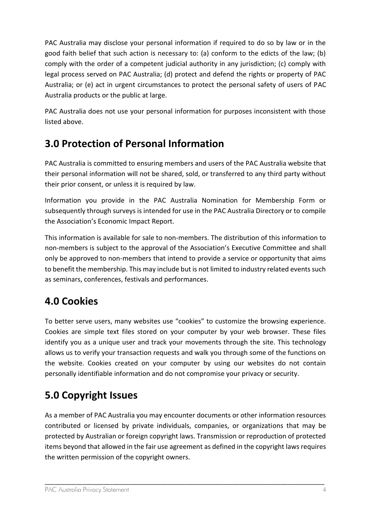PAC Australia may disclose your personal information if required to do so by law or in the good faith belief that such action is necessary to: (a) conform to the edicts of the law; (b) comply with the order of a competent judicial authority in any jurisdiction; (c) comply with legal process served on PAC Australia; (d) protect and defend the rights or property of PAC Australia; or (e) act in urgent circumstances to protect the personal safety of users of PAC Australia products or the public at large.

PAC Australia does not use your personal information for purposes inconsistent with those listed above.

### <span id="page-3-0"></span>**3.0 Protection of Personal Information**

PAC Australia is committed to ensuring members and users of the PAC Australia website that their personal information will not be shared, sold, or transferred to any third party without their prior consent, or unless it is required by law.

Information you provide in the PAC Australia Nomination for Membership Form or subsequently through surveys is intended for use in the PAC Australia Directory or to compile the Association's Economic Impact Report.

This information is available for sale to non-members. The distribution of this information to non-members is subject to the approval of the Association's Executive Committee and shall only be approved to non-members that intend to provide a service or opportunity that aims to benefit the membership. This may include but is not limited to industry related events such as seminars, conferences, festivals and performances.

# <span id="page-3-1"></span>**4.0 Cookies**

To better serve users, many websites use "cookies" to customize the browsing experience. Cookies are simple text files stored on your computer by your web browser. These files identify you as a unique user and track your movements through the site. This technology allows us to verify your transaction requests and walk you through some of the functions on the website. Cookies created on your computer by using our websites do not contain personally identifiable information and do not compromise your privacy or security.

# <span id="page-3-2"></span>**5.0 Copyright Issues**

As a member of PAC Australia you may encounter documents or other information resources contributed or licensed by private individuals, companies, or organizations that may be protected by Australian or foreign copyright laws. Transmission or reproduction of protected items beyond that allowed in the fair use agreement as defined in the copyright laws requires the written permission of the copyright owners.